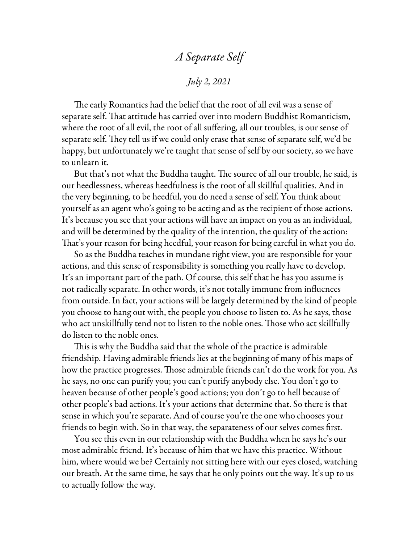## *A Separate Self*

*July 2, 2021*

The early Romantics had the belief that the root of all evil was a sense of separate self. That attitude has carried over into modern Buddhist Romanticism, where the root of all evil, the root of all suffering, all our troubles, is our sense of separate self. They tell us if we could only erase that sense of separate self, we'd be happy, but unfortunately we're taught that sense of self by our society, so we have to unlearn it.

But that's not what the Buddha taught. The source of all our trouble, he said, is our heedlessness, whereas heedfulness is the root of all skillful qualities. And in the very beginning, to be heedful, you do need a sense of self. You think about yourself as an agent who's going to be acting and as the recipient of those actions. It's because you see that your actions will have an impact on you as an individual, and will be determined by the quality of the intention, the quality of the action: That's your reason for being heedful, your reason for being careful in what you do.

So as the Buddha teaches in mundane right view, you are responsible for your actions, and this sense of responsibility is something you really have to develop. It's an important part of the path. Of course, this self that he has you assume is not radically separate. In other words, it's not totally immune from influences from outside. In fact, your actions will be largely determined by the kind of people you choose to hang out with, the people you choose to listen to. As he says, those who act unskillfully tend not to listen to the noble ones. Those who act skillfully do listen to the noble ones.

This is why the Buddha said that the whole of the practice is admirable friendship. Having admirable friends lies at the beginning of many of his maps of how the practice progresses. Those admirable friends can't do the work for you. As he says, no one can purify you; you can't purify anybody else. You don't go to heaven because of other people's good actions; you don't go to hell because of other people's bad actions. It's your actions that determine that. So there is that sense in which you're separate. And of course you're the one who chooses your friends to begin with. So in that way, the separateness of our selves comes first.

You see this even in our relationship with the Buddha when he says he's our most admirable friend. It's because of him that we have this practice. Without him, where would we be? Certainly not sitting here with our eyes closed, watching our breath. At the same time, he says that he only points out the way. It's up to us to actually follow the way.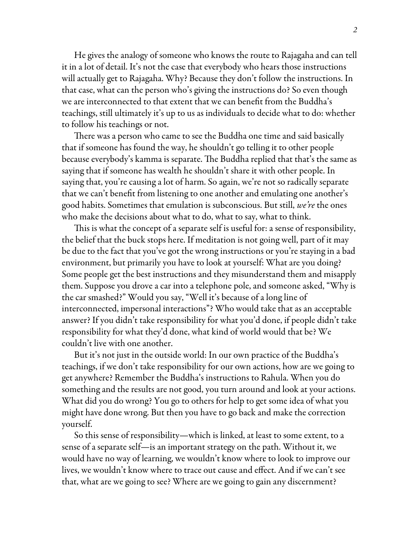He gives the analogy of someone who knows the route to Rajagaha and can tell it in a lot of detail. It's not the case that everybody who hears those instructions will actually get to Rajagaha. Why? Because they don't follow the instructions. In that case, what can the person who's giving the instructions do? So even though we are interconnected to that extent that we can benefit from the Buddha's teachings, still ultimately it's up to us as individuals to decide what to do: whether to follow his teachings or not.

There was a person who came to see the Buddha one time and said basically that if someone has found the way, he shouldn't go telling it to other people because everybody's kamma is separate. The Buddha replied that that's the same as saying that if someone has wealth he shouldn't share it with other people. In saying that, you're causing a lot of harm. So again, we're not so radically separate that we can't benefit from listening to one another and emulating one another's good habits. Sometimes that emulation is subconscious. But still, *we're* the ones who make the decisions about what to do, what to say, what to think.

This is what the concept of a separate self is useful for: a sense of responsibility, the belief that the buck stops here. If meditation is not going well, part of it may be due to the fact that you've got the wrong instructions or you're staying in a bad environment, but primarily you have to look at yourself: What are you doing? Some people get the best instructions and they misunderstand them and misapply them. Suppose you drove a car into a telephone pole, and someone asked, "Why is the car smashed?" Would you say, "Well it's because of a long line of interconnected, impersonal interactions"? Who would take that as an acceptable answer? If you didn't take responsibility for what you'd done, if people didn't take responsibility for what they'd done, what kind of world would that be? We couldn't live with one another.

But it's not just in the outside world: In our own practice of the Buddha's teachings, if we don't take responsibility for our own actions, how are we going to get anywhere? Remember the Buddha's instructions to Rahula. When you do something and the results are not good, you turn around and look at your actions. What did you do wrong? You go to others for help to get some idea of what you might have done wrong. But then you have to go back and make the correction yourself.

So this sense of responsibility—which is linked, at least to some extent, to a sense of a separate self—is an important strategy on the path. Without it, we would have no way of learning, we wouldn't know where to look to improve our lives, we wouldn't know where to trace out cause and effect. And if we can't see that, what are we going to see? Where are we going to gain any discernment?